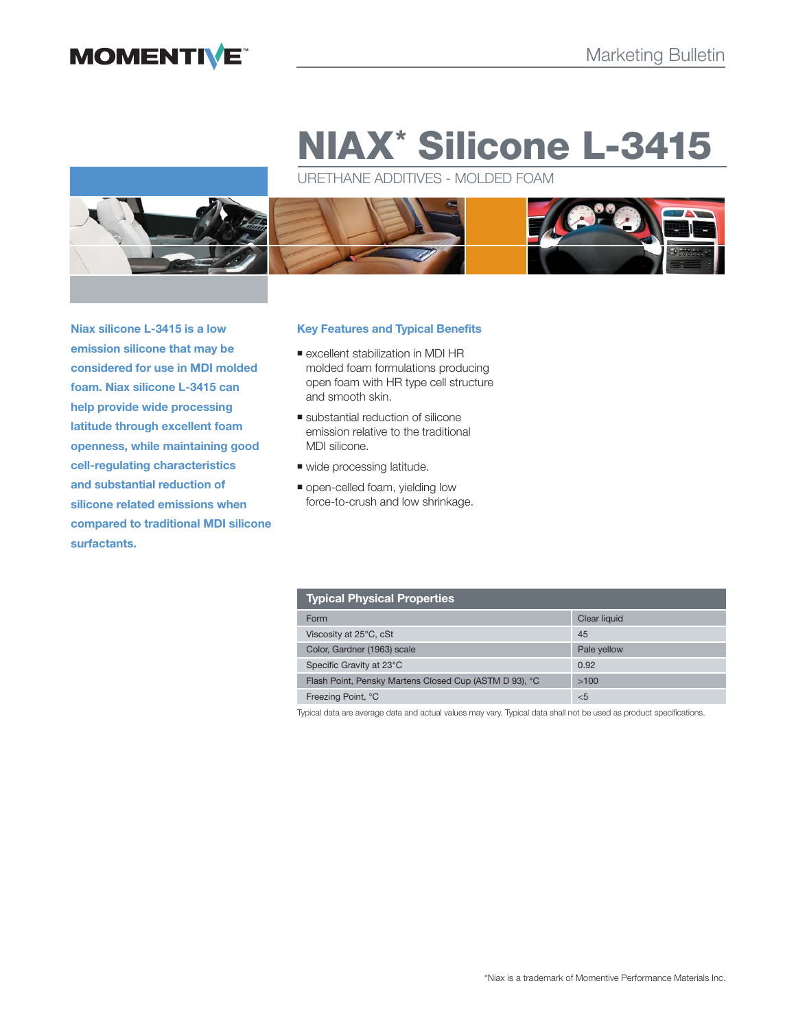# **MOMENTIVE**

# **NIAX\* Silicone L-3415**

URETHANE ADDITIVES - MOLDED FOAM



**Niax silicone L-3415 is a low emission silicone that may be considered for use in MDI molded foam. Niax silicone L-3415 can help provide wide processing latitude through excellent foam openness, while maintaining good cell-regulating characteristics and substantial reduction of silicone related emissions when compared to traditional MDI silicone surfactants.**

# **Key Features and Typical Benefits**

- excellent stabilization in MDI HR molded foam formulations producing open foam with HR type cell structure and smooth skin.
- substantial reduction of silicone emission relative to the traditional MDI silicone.
- wide processing latitude.
- **.** open-celled foam, yielding low force-to-crush and low shrinkage.

| <b>Typical Physical Properties</b>                     |              |  |  |  |
|--------------------------------------------------------|--------------|--|--|--|
| Form                                                   | Clear liquid |  |  |  |
| Viscosity at 25°C, cSt                                 | 45           |  |  |  |
| Color, Gardner (1963) scale                            | Pale yellow  |  |  |  |
| Specific Gravity at 23°C                               | 0.92         |  |  |  |
| Flash Point, Pensky Martens Closed Cup (ASTM D 93), °C | >100         |  |  |  |
| Freezing Point, °C                                     | < 5          |  |  |  |

Typical data are average data and actual values may vary. Typical data shall not be used as product specifications.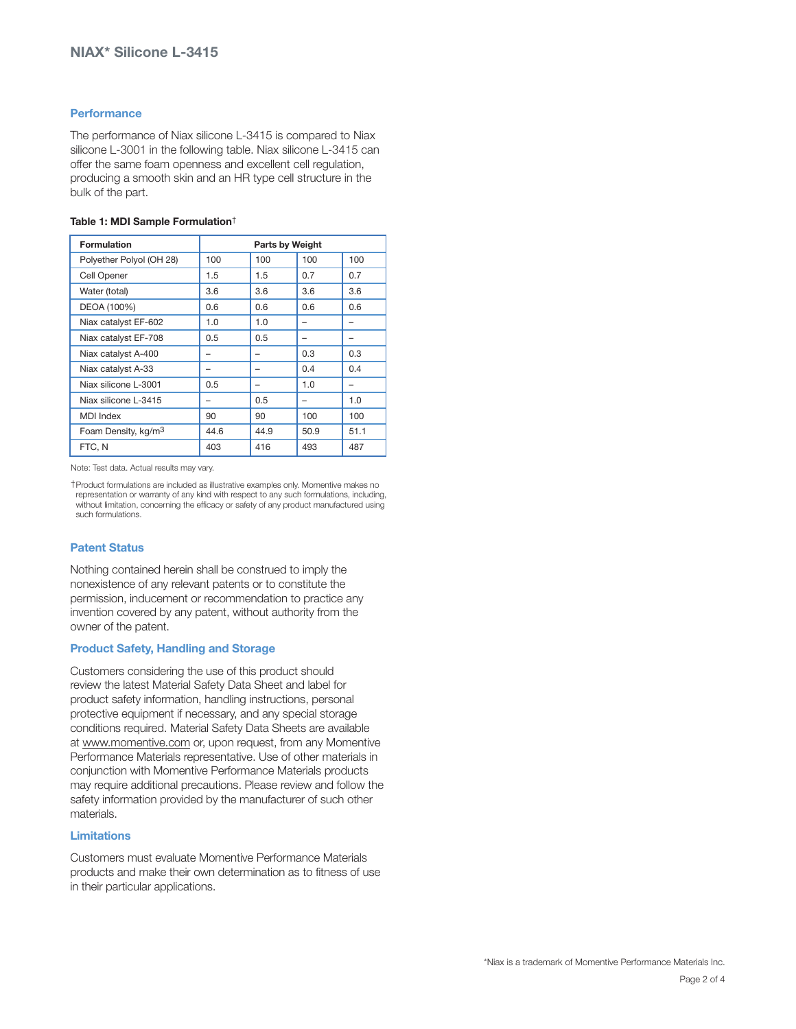# **Performance**

The performance of Niax silicone L-3415 is compared to Niax silicone L-3001 in the following table. Niax silicone L-3415 can offer the same foam openness and excellent cell regulation, producing a smooth skin and an HR type cell structure in the bulk of the part.

### **Table 1: MDI Sample Formulation**†

| <b>Formulation</b>              | <b>Parts by Weight</b> |      |      |      |
|---------------------------------|------------------------|------|------|------|
| Polyether Polyol (OH 28)        | 100                    | 100  | 100  | 100  |
| Cell Opener                     | 1.5                    | 1.5  | 0.7  | 0.7  |
| Water (total)                   | 3.6                    | 3.6  | 3.6  | 3.6  |
| DEOA (100%)                     | 0.6                    | 0.6  | 0.6  | 0.6  |
| Niax catalyst EF-602            | 1.0                    | 1.0  |      |      |
| Niax catalyst EF-708            | 0.5                    | 0.5  | -    |      |
| Niax catalyst A-400             |                        |      | 0.3  | 0.3  |
| Niax catalyst A-33              | -                      |      | 0.4  | 0.4  |
| Niax silicone L-3001            | 0.5                    |      | 1.0  |      |
| Niax silicone L-3415            |                        | 0.5  |      | 1.0  |
| <b>MDI</b> Index                | 90                     | 90   | 100  | 100  |
| Foam Density, kg/m <sup>3</sup> | 44.6                   | 44.9 | 50.9 | 51.1 |
| FTC, N                          | 403                    | 416  | 493  | 487  |

Note: Test data. Actual results may vary.

†Product formulations are included as illustrative examples only. Momentive makes no representation or warranty of any kind with respect to any such formulations, including, without limitation, concerning the efficacy or safety of any product manufactured using such formulations.

# **Patent Status**

Nothing contained herein shall be construed to imply the nonexistence of any relevant patents or to constitute the permission, inducement or recommendation to practice any invention covered by any patent, without authority from the owner of the patent.

## **Product Safety, Handling and Storage**

Customers considering the use of this product should review the latest Material Safety Data Sheet and label for product safety information, handling instructions, personal protective equipment if necessary, and any special storage conditions required. Material Safety Data Sheets are available at www.momentive.com or, upon request, from any Momentive Performance Materials representative. Use of other materials in conjunction with Momentive Performance Materials products may require additional precautions. Please review and follow the safety information provided by the manufacturer of such other materials.

# **Limitations**

Customers must evaluate Momentive Performance Materials products and make their own determination as to fitness of use in their particular applications.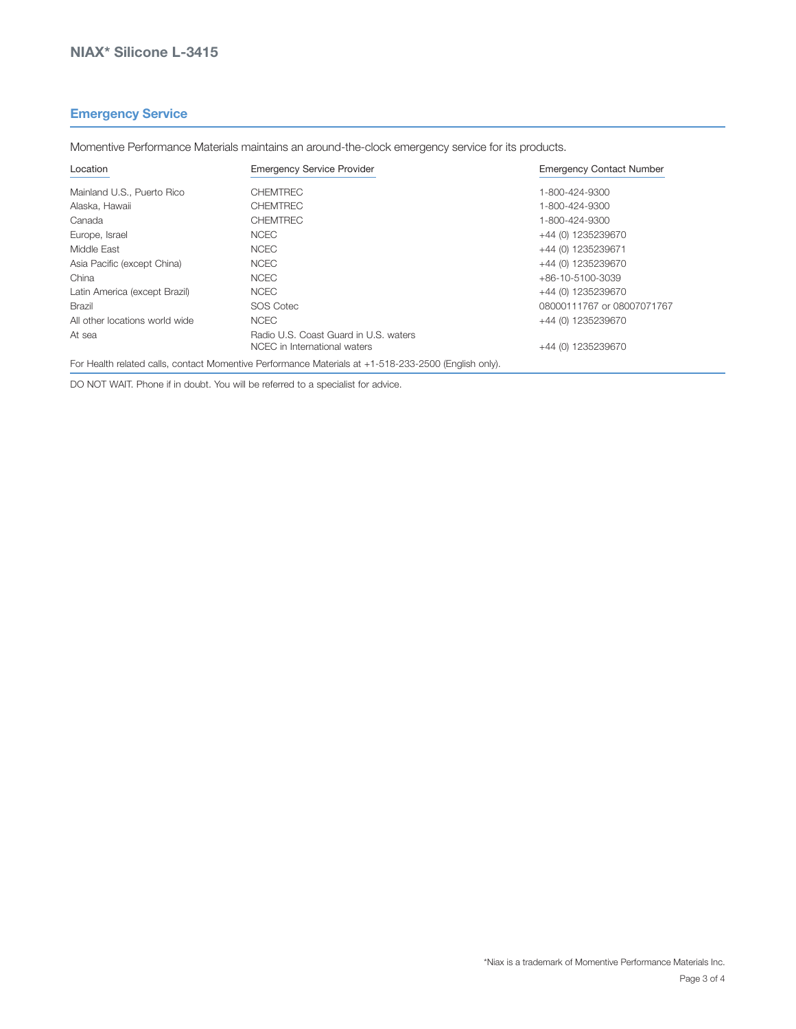# **Emergency Service**

Location Emergency Service Provider Emergency Contact Number Mainland U.S., Puerto Rico **CHEMTREC CHEMTREC** 1-800-424-9300 Alaska, Hawaii CHEMTREC 1-800-424-9300 Canada CHEMTREC 1-800-424-9300 Europe, Israel NCEC +44 (0) 1235239670 Middle East **1235239671 NOEC 1235239671 Middle East** 444 (0) 1235239671 Asia Pacific (except China)  $NCEC$  +44 (0) 1235239670 China +86-10-5100-3039 NCEC +86-10-5100-3039 Latin America (except Brazil)  $NCEC$  +44 (0) 1235239670

Brazil **Brazil SOS Cotec 68000111767** or 08007071767

NCEC in International waters  $+44$  (0) 1235239670

All other locations world wide NCEC +44 (0) 1235239670

Momentive Performance Materials maintains an around-the-clock emergency service for its products.

For Health related calls, contact Momentive Performance Materials at +1-518-233-2500 (English only).

DO NOT WAIT. Phone if in doubt. You will be referred to a specialist for advice.

At sea **Radio U.S. Coast Guard in U.S. waters**